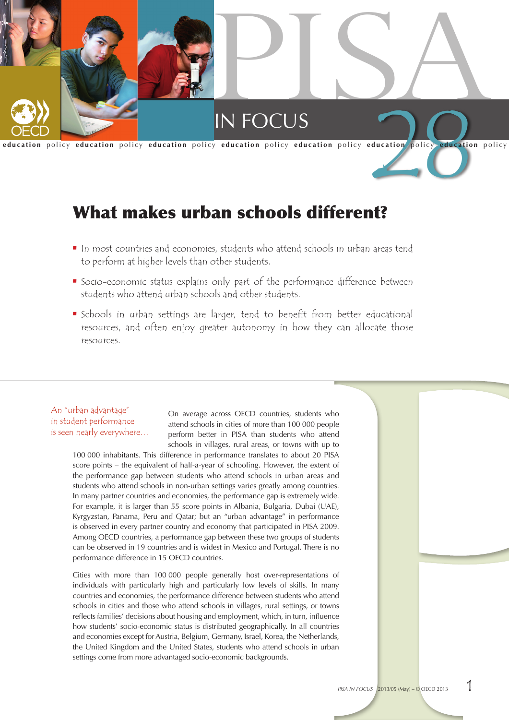

# What makes urban schools different?

- In most countries and economies, students who attend schools in urban areas tend to perform at higher levels than other students.
- Socio-economic status explains only part of the performance difference between students who attend urban schools and other students.
- **•** Schools in urban settings are larger, tend to benefit from better educational resources, and often enjoy greater autonomy in how they can allocate those resources.

# An "urban advantage" in student performance is seen nearly everywhere…

On average across OECD countries, students who attend schools in cities of more than 100 000 people perform better in PISA than students who attend schools in villages, rural areas, or towns with up to

100 000 inhabitants. This difference in performance translates to about 20 PISA score points – the equivalent of half-a-year of schooling. However, the extent of the performance gap between students who attend schools in urban areas and students who attend schools in non-urban settings varies greatly among countries. In many partner countries and economies, the performance gap is extremely wide. For example, it is larger than 55 score points in Albania, Bulgaria, Dubai (UAE), Kyrgyzstan, Panama, Peru and Qatar; but an "urban advantage" in performance is observed in every partner country and economy that participated in PISA 2009. Among OECD countries, a performance gap between these two groups of students can be observed in 19 countries and is widest in Mexico and Portugal. There is no performance difference in 15 OECD countries.

Cities with more than 100 000 people generally host over-representations of individuals with particularly high and particularly low levels of skills. In many countries and economies, the performance difference between students who attend schools in cities and those who attend schools in villages, rural settings, or towns reflects families' decisions about housing and employment, which, in turn, influence how students' socio-economic status is distributed geographically. In all countries and economies except for Austria, Belgium, Germany, Israel, Korea, the Netherlands, the United Kingdom and the United States, students who attend schools in urban settings come from more advantaged socio-economic backgrounds.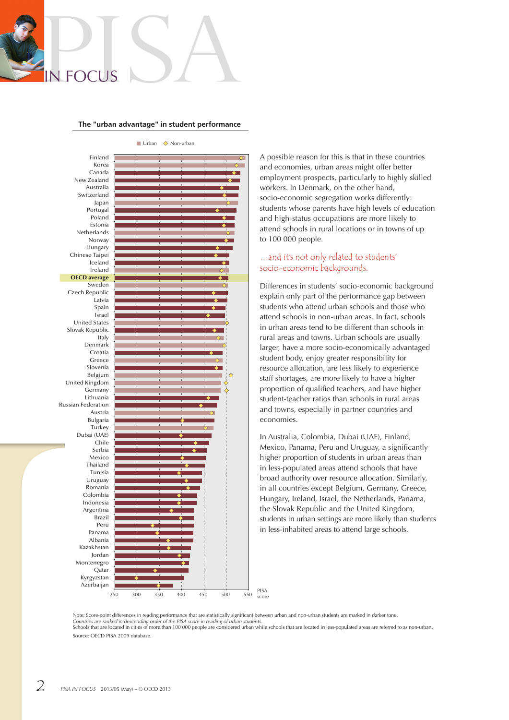# RISA

### **The "urban advantage" in student performance**



 $\Box$  Urban  $\Diamond$  Non-urban

A possible reason for this is that in these countries and economies, urban areas might offer better employment prospects, particularly to highly skilled workers. In Denmark, on the other hand, socio-economic segregation works differently: students whose parents have high levels of education and high-status occupations are more likely to attend schools in rural locations or in towns of up to 100 000 people.

### …and it's not only related to students' socio-economic backgrounds.

Differences in students' socio-economic background explain only part of the performance gap between students who attend urban schools and those who attend schools in non-urban areas. In fact, schools in urban areas tend to be different than schools in rural areas and towns. Urban schools are usually larger, have a more socio-economically advantaged student body, enjoy greater responsibility for resource allocation, are less likely to experience staff shortages, are more likely to have a higher proportion of qualified teachers, and have higher student-teacher ratios than schools in rural areas and towns, especially in partner countries and economies.

In Australia, Colombia, Dubai (UAE), Finland, Mexico, Panama, Peru and Uruguay, a significantly higher proportion of students in urban areas than in less-populated areas attend schools that have broad authority over resource allocation. Similarly, in all countries except Belgium, Germany, Greece, Hungary, Ireland, Israel, the Netherlands, Panama, the Slovak Republic and the United Kingdom, students in urban settings are more likely than students in less-inhabited areas to attend large schools.

Note: Score-point differences in reading performance that are statistically significant between urban and non-urban students are marked in darker tone. Countries are ranked in descending order of the PISA score in reading of urban students.<br>Schools that are located in cities of more than 100 000 people are considered urban while schools that are located in less-populated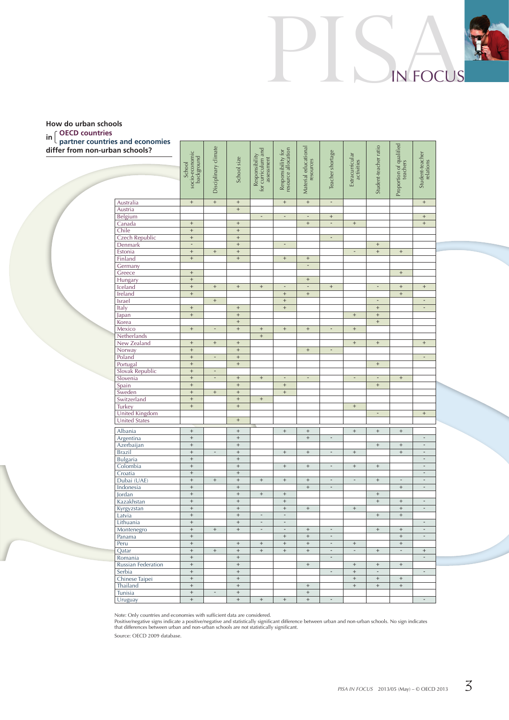### **in OECD countries How do urban schools partner countries and economies**

**differ from non-urban schools?**



PISAin Focus

Note: Only countries and economies with sufficient data are considered.

Positive/negative signs indicate a positive/negative and statistically significant difference between urban and non-urban schools. No sign indicates<br>that differences between urban and non-urban schools are not statisticall

Source: OECD 2009 database.